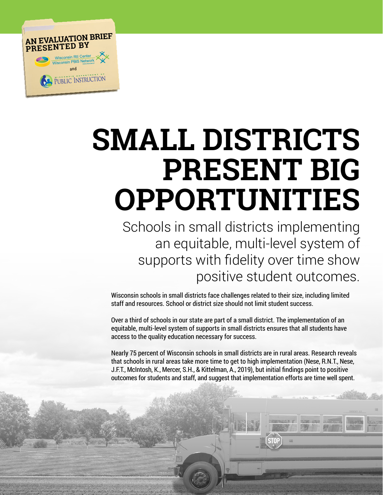

# **SMALL DISTRICTS PRESENT BIG OPPORTUNITIES**

Schools in small districts implementing an equitable, multi-level system of supports with fidelity over time show positive student outcomes.

Wisconsin schools in small districts face challenges related to their size, including limited staff and resources. School or district size should not limit student success.

Over a third of schools in our state are part of a small district. The implementation of an equitable, multi-level system of supports in small districts ensures that all students have access to the quality education necessary for success.

Nearly 75 percent of Wisconsin schools in small districts are in rural areas. Research reveals that schools in rural areas take more time to get to high implementation (Nese, R.N.T., Nese, J.F.T., McIntosh, K., Mercer, S.H., & Kittelman, A., 2019), but initial findings point to positive outcomes for students and staff, and suggest that implementation efforts are time well spent.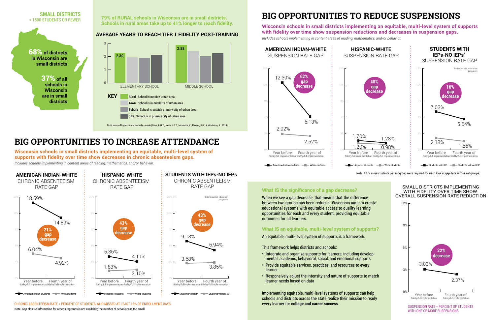#### **AVERAGE YEARS TO REACH TIER 1 FIDELITY POST-TRAINING**

#### SMALL DISTRICTS IMPLEMENTING WITH FIDELITY OVER TIME SHOW OVERALL SUSPENSION RATE REDUCTION

#### **What IS an equitable, multi-level system of supports?**

An equitable, multi-level system of supports is a framework.

This framework helps districts and schools:

- Integrate and organize supports for learners, including developmental, academic, behavioral, social, and emotional supports
- Provide equitable services, practices, and resources to every learner
- Responsively adjust the intensity and nature of supports to match learner needs based on data

Implementing equitable, multi-level systems of supports can help schools and districts across the state realize their mission to ready every learner for **college and career success**.











#### **What IS the significance of a gap decrease?**

When we see a gap decrease, that means that the difference between two groups has been reduced. Wisconsin aims to create educational systems with equitable access to quality learning opportunities for each and every student, providing equitable outcomes for all learners.

### **BIG OPPORTUNITIES TO INCREASE ATTENDANCE**

### **79% of RURAL schools in Wisconsin are in small districts. BIG OPPORTUNITIES TO REDUCE SUSPENSIONS**

**Schools in rural areas take up to 41% longer to reach fidelity.**

**Wisconsin schools in small districts implementing an equitable, multi-level system of supports with fidelity over time show suspension reductions and decreases in suspension gaps.** *Includes schools implementing in content areas of reading, mathematics, and/or behavior.* 

Note: Gap closure information for other subgroups is not available; the number of schools was too small.

Note: 10 or more students per subgroup were required for us to look at gap data across subgroups.

**Wisconsin schools in small districts implementing an equitable, multi-level system of supports with fidelity over time show decreases in chronic absenteeism gaps.** *Includes schools implementing in content areas of reading, mathematics, and/or behavior.* 

#### CHRONIC ABSENTEEISM RATE = PERCENT OF STUDENTS WHO MISSED AT LEAST 16% OF ENROLLMENT DAYS